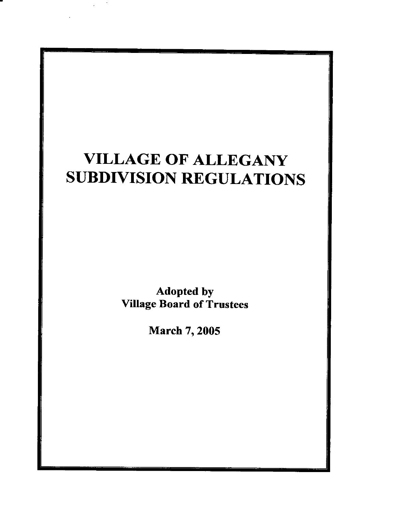# VILLAGE OF ALLEGANY SUBDIVISION REGULATIONS

Adopted by Village Board of Trustees

March 7, 2005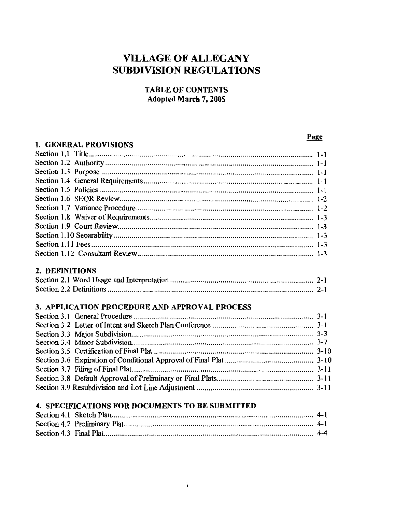# **VILLAGE OF ALLEGANY SUBDIVISION REGULATIONS**

#### **TABLE OF CONTENTS Adopted March 7, 2005**

#### **1. GENERAL PROVISIONS**

#### 

#### 2. DEFINITIONS

#### 3. APPLICATION PROCEDURE AND APPROVAL PROCESS

#### 4. SPECIFICATIONS FOR DOCUMENTS TO BE SUBMITTED

#### Page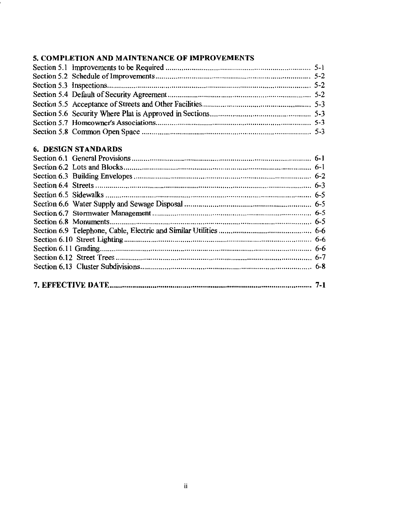### 5. COMPLETION AND MAINTENANCE OF IMPROVEMENTS

### **6. DESIGN STANDARDS**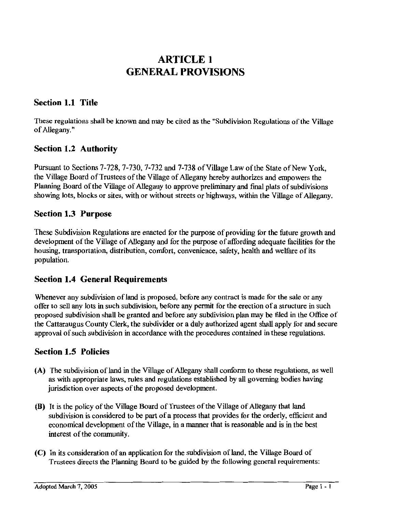# **ARTICLE 1 GENERAL PROVISIONS**

### **Section 1.1 Title**

These regulations shall be known and may be cited as the "Subdivision Regulations of the Village of Allegany."

### **Section 1.2 Authority**

Pursuant to Sections 7-728, 7-730, 7-732 and 7-738 of Village Law of the State of New York, the Village Board of Trustees of the Village of Allegany hereby authorizes and empowers the Planning Board of the Village of Allegany to approve preliminary and final plats of subdivisions showing lots, blocks or sites, with or without streets or highways, within the Village of Allegany.

### **Section 1.3 Purpose**

These Subdivision Regulations are enacted for the purpose of providing for the future growth and development of the Village of Allegany and for the purpose of affording adequate facilities for the housing, transportation, distribution, comfort, convenience, safety, health and welfare of its population.

### **Section 1.4 General Requirements**

Whenever any subdivision of land is proposed, before any contract is made for the sale or any offer to sell any lots in such subdivision, before any permit for the erection of a structure in such proposed subdivision shall be granted and before any subdivision plan may be filed in the Office of the Cattaraugus County Clerk, the subdivider or a duly authorized agent shall apply for and secure approval of such subdivision in accordance with the procedures contained in these regulations.

### **Section 1.5 Policies**

- (A) The subdivision of land in the Village of Allegany shall conform to these regulations, as well as with appropriate laws, rules and regulations established by all governing bodies having jurisdiction over aspects of the proposed development.
- **(B)** It is the policy of the Village Board of Trustees of the Village of Allegany that land subdivision is considered to be part of a process that provides for the orderly, efficient and economical development of the Village, in a manner that is reasonable and is in the best interest of the community.
- **(C)** In its consideration of an application for the subdivision of land, the Village Board of Trustees directs the Planning Board to be guided by the following general requirements: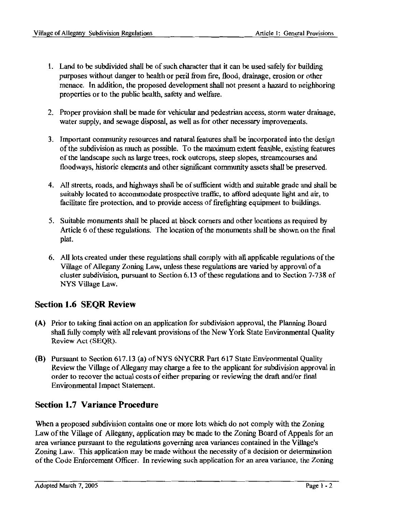- 1. Land to be subdivided shall be of such character that it can be used safely for building purposes without danger to health or peril from fire, flood, drainage, erosion or other menace. In addition, the proposed development shall not present a hazard to neighboring properties or to the public health, safety and welfare.
- 2. Proper provision shall be made for vehicular and pedestrian access, storm water drainage, water supply, and sewage disposal, as well as for other necessary improvements.
- 3. Important community resources and natural features shall be incorporated into the design of the subdivision as much as possible. To the maximum extent feasible, existing features of the landscape such as large trees, rock outcrops, steep slopes, streamcourses and floodways, historic elements and other significant community assets shall be preserved.
- 4. All streets, roads, and highways shall be of sufficient width and suitable grade and shall be suitably located to accommodate prospective traffic, to afford adequate light and air, to facilitate fire protection, and to provide access of firefighting equipment to buildings.
- 5. Suitable monuments shall be placed at block comers and other locations as required by Article 6 of these regulations. The location of the monuments shall be shown on the final plat.
- 6. All lots created under these regulations shall comply with all applicable regulations of the Village of Allegany Zoning Law, unless these regulations are varied by approval of a cluster subdivision, pursuant to Section 6.13 of these regulations and to Section 7-738 of NYS Village Law.

### **Section 1.6 SEQR Review**

- (A) Prior to taking final action on an application for subdivision approval, the Planning Board shall fully comply with all relevant provisions of the New York State Environmental Quality Review Act (SEQR).
- **(B)** Pursuant to Section 617.13 (a) ofNYS 6NYCRR Part 617 State Environmental Quality Review the Village of Allegany may charge a fee to the applicant for subdivision approval in order to recover the actual costs of either preparing or reviewing the draft and/or final Environmental Impact Statement.

### **Section 1.7 Variance Procedure**

When a proposed subdivision contains one or more lots which do not comply with the Zoning Law of the Village of Allegany, application may be made to the Zoning Board of Appeals for an area variance pursuant to the regulations governing area variances contained in the Village's Zoning Law. This application may **be** made without the necessity of a decision or determination of the Code Enforcement Officer. In reviewing such application for an area variance, the Zoning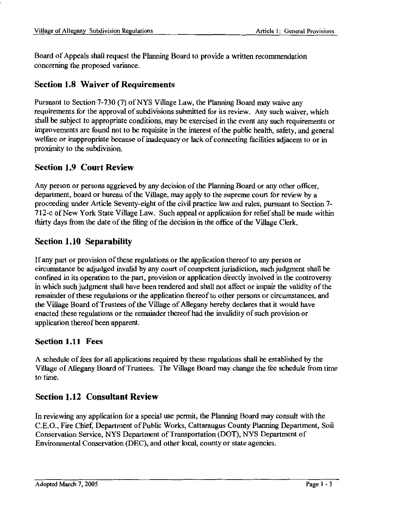Board of Appeals shall request the Planning Board to provide a written recommendation concerning the proposed variance.

### **Section 1.8 Waiver of Requirements**

Pursuant to Section 7-730 (7) of NYS Village Law, the Planning Board may waive any requirements for the approval of subdivisions submitted for its review. Any such waiver, which shall be subject to appropriate conditions, may be exercised in the event any such requirements or improvements are found not to be requisite in the interest of the public health, safety, and general welfare or inappropriate because of inadequacy or lack of connecting facilities adjacent to or in proximity to the subdivision.

### **Section 1.9 Court Review**

Any person or persons aggrieved by any decision of the Planning Board or any other officer, department, board or bureau of the Village, may apply to the supreme court for review by a proceeding under Article Seventy-eight of the civil practice law and rules, pursuant to Section 7- 712-c of New York State Village Law. Such appeal or application for relief shall be made within thirty days from the date of the filing of the decision in the office of the Village Clerk.

### **Section 1.10 Separability**

If any part or provision of these regulations or the application thereof to any person or circumstance be adjudged invalid by any court of competent jurisdiction, such judgment shall be confined in its operation to the part, provision or application directly involved in the controversy in which such judgment shall have been rendered and shall not affect or impair the validity of the remainder of these regulations or the application thereof to other persons or circumstances, and the Village Board of Trustees of the Village of Allegany hereby declares that it would have enacted these regulations or the remainder thereof had the invalidity of such provision or application thereof been apparent.

### **Section 1.11 Fees**

A schedule of fees for all applications required by these regulations shall be established by the Village of Allegany Board of Trustees. The Village Board may change the fee schedule from time to time.

### **Section 1.12 Consultant Review**

In reviewing any application for a special use permit, the Planning Board may consult with the C.E.O., Fire Chief, Department of Public Works, Cattaraugus County Planning Department, Soil Conservation Service, NYS Department of Transportation (DOT), NYS Department of Environmental Conservation (DEC), and other local, county or state agencies.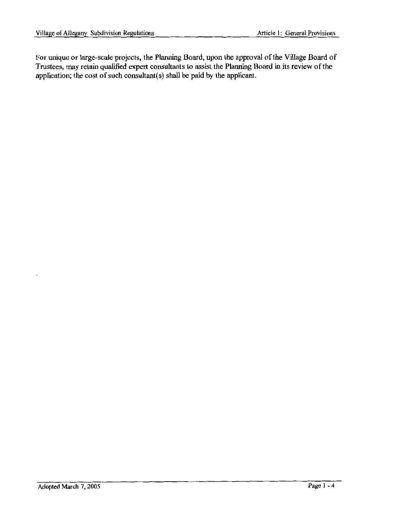For unique or large-scale projects, the Planning Board, upon the approval of the Village Board of Trustees. may retain qualified expert consultants to assist the Planning Board in its review of the application; the cost of such consultant(s) shall be paid by the applicant.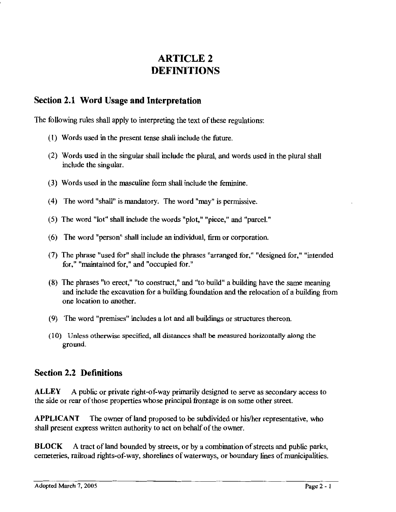# **ARTICLE2 DEFINITIONS**

### **Section 2.1 Word Usage and Interpretation**

The following rules shall apply to interpreting the text of these regulations:

- { 1) Words used in the present tense shall include the future.
- (2) Words used in the singular shall include the plural, and words used in the plural shall include the singular.
- (3) Words used in the masculine form shall include the feminine.
- { 4) The word "shall" is mandatory. The word "may" is permissive.
- { 5) The word "lot" shall include the words "plot," "piece," and "parcel."
- ( 6) The word "person" shall include an individual, firm or corporation.
- (7) The phrase "used for" shall include the phrases "arranged for," "designed for," "intended for," "maintained for," and "occupied for."
- (8) The phrases "to erect," "to construct," and "to build" a building have the same meaning and include the excavation for a building foundation and the relocation of a building from one location to another.
- (9) The word "premises" includes a lot and all buildings or structures thereon.
- (10) Unless otherwise specified, all distances shall be measured horizontally along the ground.

### **Section 2.2 Definitions**

**ALLEY** A public or private right-of-way primarily designed to serve as secondary access to the side or rear of those properties whose principal frontage is on some other street.

**APPLICANT** The owner of land proposed to be subdivided or his/her representative, who shall present express written authority to act on behalf of the owner.

**BLOCK** A tract of land bounded by streets, or by a combination of streets and public parks, cemeteries, railroad rights-of-way, shorelines of waterways, or boundary lines of municipalities.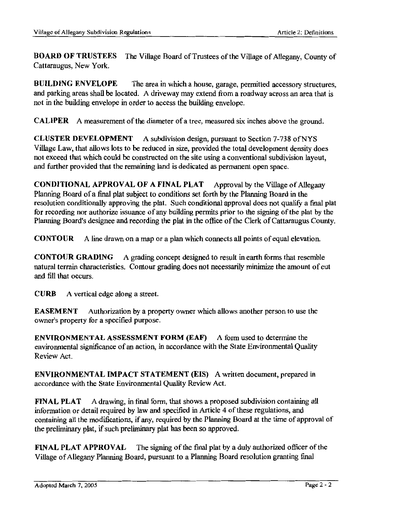**BOARD OF TRUSTEES** The Village Board of Trustees of the Village of Allegany, County of Cattaraugus, New York.

**BUILDING ENVELOPE** The area in which a house, garage, permitted accessory structures, and parking areas shall be located. A driveway may extend from a roadway across an area that is not in the building envelope in order to access the building envelope.

**CALIPER** A measurement of the diameter of a tree, measured six inches above the ground.

**CLUSTER DEVELOPMENT** A subdivision design, pursuant to Section 7-738 ofNYS Village Law, that allows lots to be reduced in size, provided the total development density does not exceed that which could be constructed on the site using a conventional subdivision layout, and further provided that the remaining land is dedicated as permanent open space.

**CONDITIONAL APPROVAL OF A FINAL PLAT** Approval by the Village of Allegany Planning Board of a final plat subject to conditions set forth by the Planning Board in the resolution conditionally approving the plat. Such conditional approval does not qualify a final plat for recording nor authorize issuance of any building permits prior to the signing of the plat by the Planning Board's designee and recording the plat in the office of the Clerk of Cattaraugus County.

**CONTOUR** A line drawn on a map or a plan which connects all points of equal elevation.

**CONTOUR GRADING** A grading concept designed to result in earth forms that resemble natural terrain characteristics. Contour grading does not necessarily minimize the amount of cut and fill that occurs.

**CURB** A vertical edge along a street.

**EASEMENT** Authorization by a property owner which allows another person to use the owner's property for a specified purpose.

**ENVIRONMENT AL ASSESSMENT FORM (EAF)** A form used to determine the environmental significance of an action, in accordance with the State Environmental Quality Review Act.

**ENVIRONMENTAL IMPACT STATEMENT (EIS)** A written document, prepared in accordance with the State Environmental Quality Review Act.

**FINAL PLAT** A drawing, in final form, that shows a proposed subdivision containing all information or detail required by law and specified in Article 4 of these regulations, and containing all the modifications, if any, required by the Planning Board at the time of approval of the preliminary plat, if such preliminary plat has been so approved.

**FINAL PLAT APPROVAL** The signing of the final plat by a duly authorized officer of the Village of Allegany Planning Board, pursuant to a Planning Board resolution granting final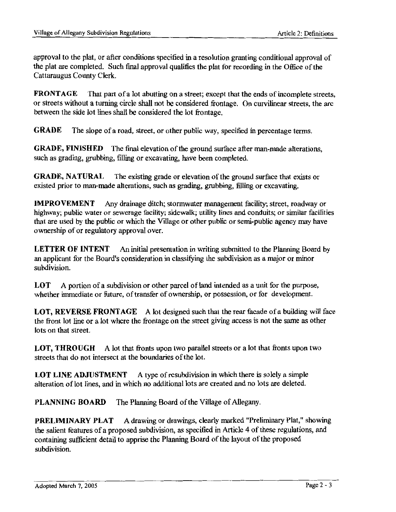approval to the plat, or after conditions specified in a resolution granting conditional approval of the plat are completed. Such final approval qualifies the plat for recording in the Office of the Cattaraugus County Clerk.

**FRONTAGE** That part of a lot abutting on a street; except that the ends of incomplete streets, or streets without a turning circle shall not be considered frontage. On curvilinear streets, the arc between the side lot lines shall be considered the lot frontage.

**GRADE** The slope of a road, street, or other public way, specified in percentage terms.

**GRADE, FINISHED** The final elevation of the ground surface after man-made alterations, such as grading, grubbing, filling or excavating, have been completed.

**GRADE, NATURAL** The existing grade or elevation of the ground surface that exists or existed prior to man-made alterations, such as grading, grubbing, filling or excavating.

**IMPROVEMENT** Any drainage ditch; stormwater management facility; street, roadway or highway; public water or sewerage facility; sidewalk; utility lines and conduits; or similar facilities that are used by the public or which the Village or other public or semi-public agency may have ownership of or regulatory approval over.

**LETTER OF INTENT** An initial presentation in writing submitted to the Planning Board by an applicant for the Board's consideration in classifying the subdivision as a major or minor subdivision.

LOT A portion of a subdivision or other parcel of land intended as a unit for the purpose, whether immediate or future, of transfer of ownership, or possession, or for development.

**LOT, REVERSE FRONTAGE** A lot designed such that the rear facade of a building will face the front lot line or a lot where the frontage on the street giving access is not the same as other lots on that street.

**LOT, THROUGH** A lot that fronts upon two parallel streets or a lot that fronts upon two streets that do not intersect at the boundaries of the lot.

**LOT LINE ADJUSTMENT** A type of resubdivision in which there is solely a simple alteration of lot lines, and in which no additional lots are created and no lots are deleted.

**PLANNING BOARD** The Planning Board of the Village of Allegany.

**PRELIMINARY PLAT** A drawing or drawings, clearly marked "Preliminary Plat," showing the salient features of a proposed subdivision, as specified in Article 4 of these regulations, and containing sufficient detail to apprise the Planning Board of the layout of the proposed subdivision.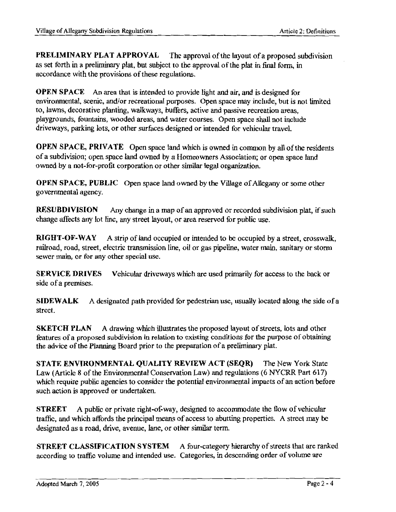**PRELIMINARY PLAT APPROVAL** The approval of the layout of a proposed subdivision as set forth in a preliminary plat, but subject to the approval of the plat in final form, in accordance with the provisions of these regulations.

**OPEN SPACE** An area that is intended to provide light and air, and is designed for environmental, scenic, and/or recreational purposes. Open space may include, but is not limited to, lawns, decorative planting, walkways, buffers, active and passive recreation areas, playgrounds, fountains, wooded areas, and water courses. Open space shall not include driveways, parking lots, or other surfaces designed or intended for vehicular travel.

**OPEN SPACE, PRIVATE** Open space land which is owned in common by all of the residents of a subdivision; open space land owned by a Homeowners Association; or open space land owned by a not-for-profit corporation or other similar legal organization.

**OPEN SPACE, PUBLIC** Open space land owned by the Village of Allegany or some other governmental agency.

**RESUBDIVISION** Any change in a map of an approved or recorded subdivision plat, if such change affects any lot line, any street layout, or area reserved for public use.

**RIGHT-OF-WAY** A strip of land occupied or intended to be occupied by a street, crosswalk, railroad, road, street, electric transmission line, oil or gas pipeline, water main, sanitary or stonn sewer main, or for any other special use.

**SERVICE DRIVES** Vehicular driveways which are used primarily for access to the back or side of a premises.

**SIDEWALK** A designated path provided for pedestrian use, usually located along the side of a street.

**SKETCH PLAN** A drawing which illustrates the proposed layout of streets, lots and other features of a proposed subdivision in relation to existing conditions for the purpose of obtaining the advice of the Planning Board prior to the preparation of a preliminary plat.

**STATE ENVIRONMENTAL QUALITY REVIEW ACT (SEQR)** The New York State Law (Article 8 of the Environmental Conservation Law) and regulations (6 NYCRR Part 617) which require public agencies to consider the potential environmental impacts of an action before such action is approved or undertaken.

**STREET** A public or private right-of-way, designed to accommodate the flow of vehicular traffic, and which affords the principal means of access to abutting properties. A street may be designated as a road, drive, avenue, lane, or other similar term.

**STREET CLASSIFICATION SYSTEM** A four-category hierarchy of streets that are ranked according to traffic volume and intended use. Categories, in descending order of volume are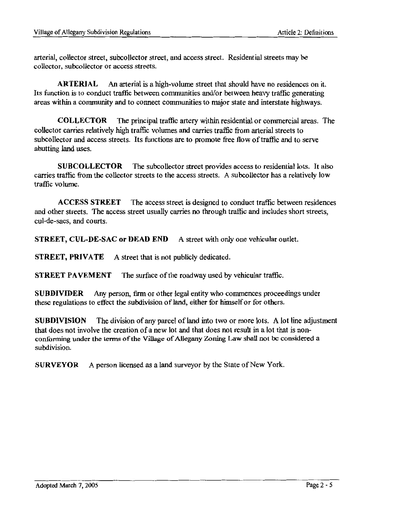arterial, collector street, subcollector street, and access street. Residential streets may be collector, subcollector or access streets.

**ARTERIAL** An arterial is a high-volume street that should have no residences on it. Its function is to conduct traffic between communities and/or between heavy traffic generating areas within a community and to connect communities to major state and interstate highways.

**COLLECTOR** The principal traffic artery within residential or commercial areas. The collector carries relatively high traffic volumes and carries traffic from arterial streets to subcollector and access streets. Its functions are to promote free flow of traffic and to serve abutting land uses.

**SUBCOLLECTOR** The subcollector street provides access to residential lots. It also carries traffic from the collector streets to the access streets. A subcollector has a relatively low traffic volume.

**ACCESS STREET** The access street is designed to conduct traffic between residences and other streets. The access street usually carries no through traffic and includes short streets, cul-de-sacs, and courts.

**STREET, CUL-DE-SAC or DEAD END** A street with only one vehicular outlet.

**STREET, PRIVATE** A street that is not publicly dedicated.

**STREET PAVEMENT** The surface of the roadway used by vehicular traffic.

**SUBDIVIDER** Any person, firm or other legal entity who commences proceedings under these regulations to effect the subdivision of land, either for himself or for others.

**SUBDIVISION** The division of any parcel of land into two or more lots. A lot line adjustment that does not involve the creation of a new lot and that does not result in a lot that is nonconforming under the terms of the Village of Allegany Zoning Law shall not be considered a subdivision.

**SURVEYOR** A person licensed as a land surveyor by the State of New York.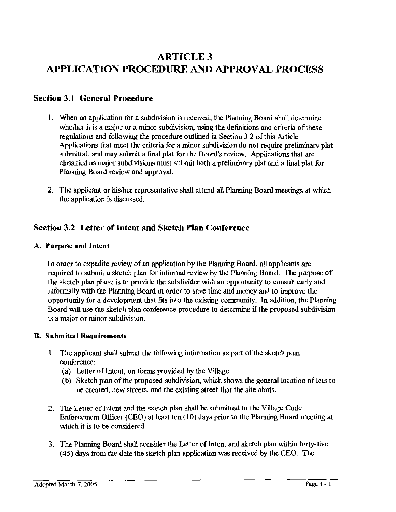# **ARTICLE3 APPLICATION PROCEDURE AND APPROVAL PROCESS**

### **Section 3.1 General Procedure**

- 1. When an application for a subdivision is received, the Planning Board shall determine whether it is a major or a minor subdivision, using the definitions and criteria of these regulations and following the procedure outlined in Section 3.2 of this Article. Applications that meet the criteria for a minor subdivision do not require preliminary plat submittal, and may submit a final plat for the Board's review. Applications that are classified as major subdivisions must submit both a preliminary plat and a final plat for Planning Board review and approval.
- 2. The applicant or his/her representative shall attend all Planning Board meetings at which the application is discussed.

### **Section 3.2 Letter of Intent and Sketch Plan Conference**

#### **A. Purpose and Intent**

ln order to expedite review of an application by the Planning Board, all applicants are required to submit a sketch plan for informal review by the Planning Board. The purpose of the sketch plan phase is to provide the subdivider with an opportunity to consult early and informally with the Planning Board in order to save time and money and to improve the opportunity for a development that fits into the existing community. In addition, the Planning Board will use the sketch plan conference procedure to determine if the proposed subdivision is a major or minor subdivision.

#### **B. Submittal Requirements**

- 1. The applicant shall submit the following information as part of the sketch plan conference:
	- (a) Letter of Intent, on forms provided by the Village.
	- (b) Sketch plan of the proposed subdivision, which shows the general location of lots to be created, new streets, and the existing street that the site abuts.
- 2. The Letter of Intent and the sketch plan shall be submitted to the Village Code Enforcement Officer (CEO) at least ten (10) days prior to the Planning Board meeting at which it is to be considered.
- 3. The Planning Board shall consider the Letter of Intent and sketch plan within forty-five ( 45) days from the date the sketch plan application was received by the CEO. The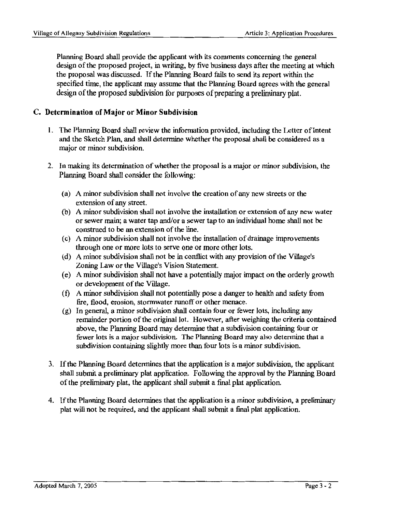Planning Board shall provide the applicant with its comments concerning the general design of the proposed project, in writing, by five business days after the meeting at which the proposal was discussed. If the Planning Board fails to send its report within the specified time, the applicant may assume that the Planning Board agrees with the general design of the proposed subdivision for purposes of preparing a preliminary plat.

#### **C. Determination of Major or Minor Subdivision**

- 1. The Planning Board shall review the information provided, including the Letter of Intent and the Sketch Plan, and shall determine whether the proposal shall be considered as a major or minor subdivision.
- 2. In making its determination of whether the proposal is a major or minor subdivision, the Planning Board shall consider the following:
	- (a) A minor subdivision shall not involve the creation of any new streets or the extension of any street.
	- (b) A minor subdivision shall not involve the installation or extension of any new water or sewer main; a water tap and/or a sewer tap to an individual home shall not be construed to be an extension of the line.
	- ( c) A minor subdivision shall not involve the installation of drainage improvements through one or more lots to serve one or more other lots.
	- (d) A minor subdivision shall not be in conflict with any provision of the Village's Zoning Law or the Village's Vision Statement.
	- (e) A minor subdivision shall not have a potentially major impact on the orderly growth or development of the Village.
	- (f) A minor subdivision shall not potentially pose a danger to health and safety from fire, flood, erosion, stormwater runoff or other menace.
	- (g) In general, a minor subdivision shall contain four or fewer lots, including any remainder portion of the original lot. However, after weighing the criteria contained above, the Planning Board may determine that a subdivision containing four or fewer lots is a major subdivision. The Planning Board may also determine that a subdivision containing slightly more than four lots is a minor subdivision.
- 3. If the Planning Board determines that the application is a major subdivision, the applicant shall submit a preliminary plat application. Following the approval by the Planning Board of the preliminary plat, the applicant shall submit a final plat application.
- 4. If the Planning Board determines that the application is a minor subdivision, a preliminary plat will not be required, and the applicant shall submit a final plat application.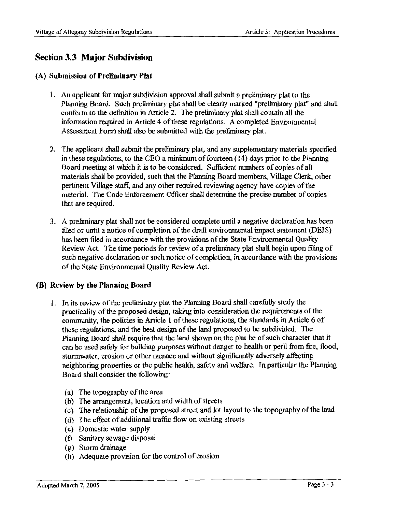### **Section 3.3 Major Subdivision**

#### (A) Submission of Preliminary Plat

- 1. An applicant for major subdivision approval shall submit a preliminary plat to the Planning Board. Such preliminary plat shall be clearly marked "preliminary plat" and shall conform to the definition in Article 2. The preliminary plat shall contain all the information required in Article 4 of these regulations. A completed Environmental Assessment Form shall also be submitted with the preliminary plat.
- 2. The applicant shall submit the preliminary plat, and any supplementary materials specified in these regulations, to the CEO a minimum of fourteen ( 14) days prior to the Planning Board meeting at which it is to be considered. Sufficient numbers of copies of all materials shall be provided, such that the Planning Board members, Village Clerk, other pertinent Village staff, and any other required reviewing agency have copies of the material. The Code Enforcement Officer shall determine the precise number of copies that are required.
- 3. A preliminary plat shall not be considered complete until a negative declaration has been filed or until a notice of completion of the draft environmental impact statement (DEIS) has been filed in accordance with the provisions of the State Environmental Quality Review Act. The time periods for review of a preliminary plat shall begin upon filing of such negative declaration or such notice of completion, in accordance with the provisions of the State Environmental Quality Review Act.

#### **(B) Review by the Planning Board**

- 1. In its review of the preliminary plat the Planning Board shall carefully study the practicality of the proposed design, taking into consideration the requirements of the community, the policies in Article 1 of these regulations, the standards in Article 6 of these regulations, and the best design of the land proposed to be subdivided. The Planning Board shall require that the land shown on the plat be of such character that it can be used safely for building purposes without danger to health or peril from fire, flood, stormwater, erosion or other menace and without significantly adversely affecting neighboring properties or the public health, safety and welfare. In particular the Planning Board shall consider the following:
	- (a) The topography of the area
	- (b) The arrangement, location and width of streets
	- ( c) The relationship of the proposed street and lot layout to the topography of the land
	- (d) The effect of additional traffic flow on existing streets
	- ( e) Domestic water supply
	- ( f) Sanitary sewage disposal
	- (g) Storm drainage
	- (h) Adequate provision for the control of erosion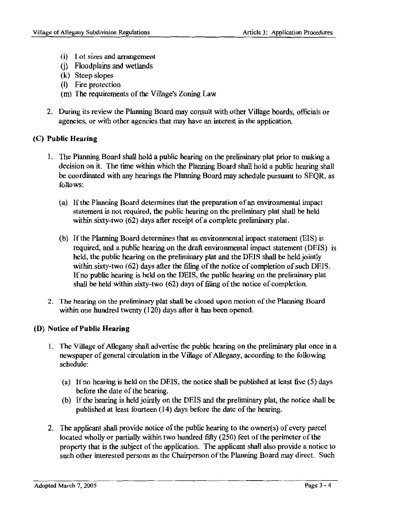- (i) Lot sizes and arrangement
- G) Floodplains and wetlands
- **(k)** Steep slopes
- (I) Fire protection
- (m) The requirements of the Village's Zoning Law
- 2. During its review the Planning Board may consult with other Village boards, officials or agencies, or with other agencies that may have an interest in the application.

#### **(C) Public Hearing**

- 1. The Planning Board shall hold a public hearing on the preliminary plat prior to making a decision on it. The time within which the Planning Board shall hold a public hearing shall be coordinated with any hearings the Planning Board may schedule pursuant to SEQR, as follows:
	- ( a) If the Planning Board determines that the preparation of an environmental impact statement is not required, the public hearing on the preliminary plat shall be held within sixty-two (62) days after receipt of a complete preliminary plat.
	- (b) If the Planning Board determines that an environmental impact statement (EIS) is required, and a public hearing on the draft environmental impact statement (DEIS) is held, the public hearing on the preliminary plat and the DEIS shall be held jointly within sixty-two (62) days after the filing of the notice of completion of such DEIS. If no public hearing is held on the DEIS, the public hearing on the preliminary plat shall be held within sixty-two (62) days of filing of the notice of completion.
- 2. The hearing on the preliminary plat shall be closed upon motion of the Planning Board within one hundred twenty (120) days after it has been opened.

#### **(D) Notice of Public Hearing**

- 1. The Village of Allegany shall advertise the public hearing on the preliminary plat once in a newspaper of general circulation in the Village of Allegany, according to the following schedule:
	- (a) If no hearing is held on the DEIS, the notice shall be published at least five (5) days before the date of the hearing.
	- (b) If the hearing is held jointly on the DEIS and the preliminary plat, the notice shall be published at least fourteen ( 14) days before the date of the hearing.
- 2. The applicant shall provide notice of the public hearing to the owner(s) of every parcel located wholly or partially within two hundred fifty (250) feet of the perimeter of the property that is the subject of the application. The applicant shall also provide a notice to such other interested persons as the Chairperson of the Planning Board may direct. Such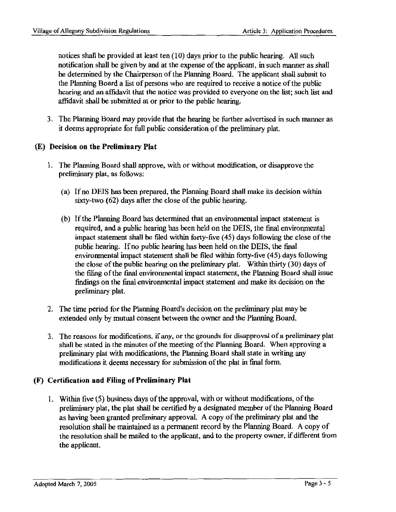notices shall be provided at least ten ( 10) days prior to the public hearing. All such notification shall be given by and at the expense of the applicant, in such manner as shall be determined by the Chairperson of the Planning Board. The applicant shall submit to the Planning Board a list of persons who are required to receive a notice of the public hearing and an affidavit that the notice was provided to everyone on the list; such list and affidavit shall be submitted at or prior to the public hearing.

3. The Planning Board may provide that the hearing be further advertised in such manner as it deems appropriate for full public consideration of the preliminary plat.

### **(E) Decision on the Preliminary Plat**

- 1. The Planning Board shall approve, with or without modification, or disapprove the preliminary plat, as follows:
	- (a) Ifno DEIS has been prepared, the Planning Board shall make its decision within sixty-two (62) days after the close of the public hearing.
	- (b) If the Planning Board has determined that an environmental impact statement is required, and a public hearing has been held on the DEIS, the final environmental impact statement shall be filed within forty-five (45) days following the close of the public hearing. If no public hearing has been held on the DEIS, the final environmental impact statement shall be filed within forty-five (45) days following the close of the public hearing on the preliminary plat. Within thirty (30) days of the filing of the final environmental impact statement, the Planning Board shall issue findings on the final environmental impact statement and make its decision on the preliminary plat.
- 2. The time period for the Planning Board's decision on the preliminary plat may be extended only by mutual consent between the owner and the Planning Board.
- 3. The reasons for modifications, if any, or the grounds for disapproval of a preliminary plat shaU be stated in the minutes of the meeting of the Planning Board. When approving a preliminary plat with modifications, the Planning Board shall state in writing any modifications it deems necessary for submission of the plat in final form.

### **(F) Certification and Filing of Preliminary Plat**

1. Within five (5) business days of the approval, with or without modifications, of the preliminary plat, the plat shall be certified by a designated member of the Planning Board as having been granted preliminary approval. A copy of the preliminary plat and the resolution shall be maintained as a permanent record by the Planning Board. A copy of the resolution shall be mailed to the applicant, and to the property owner, if different from the applicant.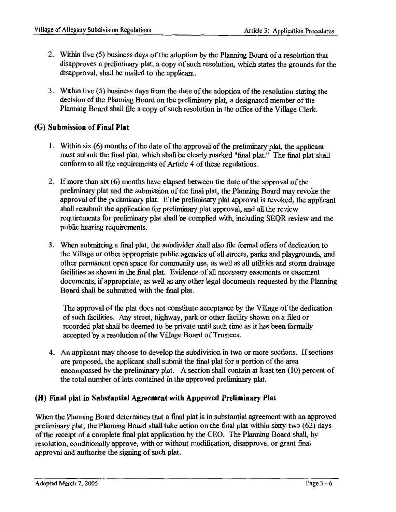- 2. Within five (5) business days of the adoption by the Planning Board of a resolution that disapproves a preliminary plat, a copy of such resolution, which states the grounds for the disapproval, shall be mailed to the applicant.
- 3. Within five (5) business days from the date of the adoption of the resolution stating the decision of the Planning Board on the preliminary plat, a designated member of the Planning Board shall file a copy of such resolution in the office of the Village Clerk.

### **(G) Submission of Final Plat**

- 1. Within six (6) months of the date of the approval of the preliminary plat, the applicant must submit the final plat, which shall be clearly marked "final plat." The final plat shall conform to all the requirements of Article 4 of these regulations.
- 2. If more than six  $(6)$  months have elapsed between the date of the approval of the preliminary plat and the submission of the final plat, the Planning Board may revoke the approval of the preliminary plat. If the preliminary plat approval is revoked, the applicant shall resubmit the application for preliminary plat approval, and all the review requirements for preliminary plat shall be complied with, including SEQR review and the public hearing requirements.
- 3. When submitting a final plat, the subdivider shall also file formal offers of dedication to the Village or other appropriate public agencies of all streets, parks and playgrounds, and other permanent open space for community use, as well as all utilities and storm drainage facilities as shown in the final plat. Evidence of all necessary easements or easement documents, if appropriate, as well as any other legal documents requested by the Planning Board shall be submitted with the final plat.

The approval of the plat does not constitute acceptance by the Village of the dedication of such facilities. Any street, highway, park or other facility shown on a filed or recorded plat shall be deemed to be private until such time as it has been formally accepted by a resolution of the Village Board of Trustees.

4. An applicant may choose to develop the subdivision in two or more sections. If sections are proposed, the applicant shall submit the final plat for a portion of the area encompassed by the preliminary plat. A section shall contain at least ten  $(10)$  percent of the total number of lots contained in the approved preliminary plat.

### **(H) Final plat in Substantial Agreement with Approved Preliminary Plat**

When the Planning Board determines that a final plat is in substantial agreement with an approved preliminary plat, the Planning Board shall take action on the final plat within sixty-two ( 62) days of the receipt of a complete final plat application by the CEO. The Planning Board shall, by resolution, conditionally approve, with or without modification, disapprove, or grant final approval and authorize the signing of such plat.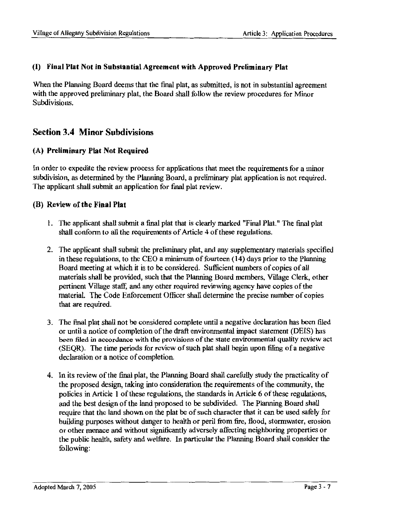#### (I) **Final Plat Not in Substantial Agreement with Approved Preliminary Plat**

When the Planning Board deems that the final plat, as submitted, is not in substantial agreement with the approved preliminary plat, the Board shall follow the review procedures for Minor Subdivisions.

### **Section 3.4 Minor Subdivisions**

#### **(A) Preliminary Plat Not Required**

In order to expedite the review process for applications that meet the requirements for a minor subdivision, as determined by the Planning Board, a preliminary plat application is not required. The applicant shall submit an application for final plat review.

#### **(B) Review of the Final Plat**

- 1. The applicant shall submit a final plat that is clearly marked "Final Plat." The final plat shall conform to all the requirements of Article 4 of these regulations.
- 2. The applicant shall submit the preliminary plat, and any supplementary materials specified in these regulations, to the CEO a minimum of fourteen (14) days prior to the Planning Board meeting at which it is to be considered. Sufficient numbers of copies of all materials shall be provided, such that the Planning Board members, Village Clerk, other pertinent Village staff, and any other required reviewing agency have copies of the material. The Code Enforcement Officer shall detennine the precise number of copies that are required.
- 3. The final plat shall not be considered complete until a negative declaration has been filed or until a notice of completion of the draft environmental impact statement (DEIS) has been filed in accordance with the provisions of the state environmental quality review act (SEQR). The time periods for review of such plat shall begin upon filing of a negative declaration or a notice of completion.
- 4. In its review of the final plat, the Planning Board shall carefully study the practicality of the proposed design, taking into consideration the requirements of the community, the policies in Article 1 of these regulations, the standards in Article 6 of these regulations, and the best design of the land proposed to be subdivided. The Planning Board shall require that the land shown on the plat be of such character that it can be used safely for building purposes without danger to health or peril from fire, flood, stormwater, erosion or other menace and without significantly adversely affecting neighboring properties or the public health, safety and welfare. In particular the Planning Board shall consider the following: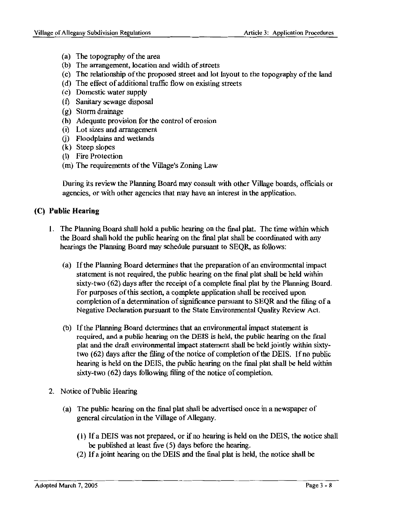- (a) The topography of the area
- (b) The arrangement, location and width of streets
- (c) The relationship of the proposed street and lot layout to the topography of the land
- ( d) The effect of additional traffic flow on existing streets
- ( e) Domestic water supply
- (f) Sanitary sewage disposal
- (g) Storm drainage
- (h) Adequate provision for the control of erosion
- (i) Lot sizes and arrangement
- (j) Floodplains and wetlands
- (k) Steep slopes
- (l) Fire Protection
- (m) The requirements of the Village's Zoning Law

During its review the Planning Board may consult with other Village boards, officials or agencies, or with other agencies that may have an interest in the application.

#### (C) **Public Hearing**

- 1. The Planning Board shall hold a public hearing on the final plat. The time within which the Board shall hold the public hearing on the final plat shall be coordinated with any hearings the Planning Board may schedule pursuant to SEQR as follows:
	- ( a) If the Planning Board determines that the preparation of an environmental impact statement is not required, the public hearing on the final plat shall be held within sixty-two (62) days after the receipt of a complete final plat by the Planning Board. For purposes of this section, a complete application shall be received upon completion of a determination of significance pursuant to SEQR and the filing of a Negative Declaration pursuant to the State Environmental Quality Review Act.
	- (b) If the Planning Board determines that an environmental impact statement is required, and a public hearing on the DEIS is held, the public hearing on the final plat and the draft environmental impact statement shall be held jointly within sixtytwo ( 62) days after the filing of the notice of completion of the DEIS. If no public hearing is held on the DEIS, the public hearing on the final plat shall be held within sixty-two (62) days following filing of the notice of completion.
- 2. Notice of Public Hearing
	- (a) The public hearing on the final plat shall be advertised once in a newspaper of general circulation in the Village of Allegany.
		- ( 1) If a DEIS was not prepared, or if no hearing is held on the DEIS, the notice shall be published at least five (5) days before the hearing.
		- (2) If a joint hearing on the DEIS and the final plat is held, the notice shall be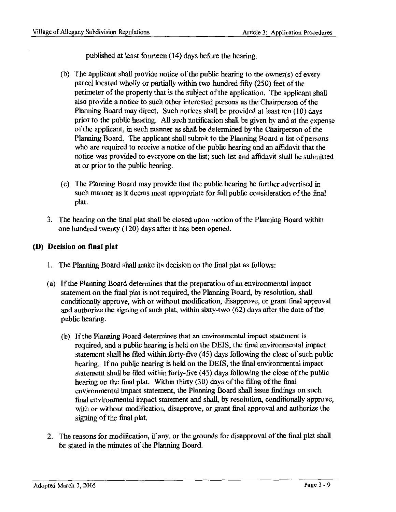published at least fourteen (14) days before the hearing.

- (b) The applicant shall provide notice of the public hearing to the owner(s) of every parcel located wholly or partially within two hundred fifty (250) feet of the perimeter of the property that is the subject of the application. The applicant shall also provide a notice to such other interested persons as the Chairperson of the Planning Board may direct. Such notices shall be provided at least ten (10) days prior to the public hearing. All such notification shall be given by and at the expense of the applicant, in such manner as shall be determined by the Chairperson of the Planning Board. The applicant shall submit to the Planning Board a list of persons who are required to receive a notice of the public hearing and an affidavit that the notice was provided to everyone on the list; such list and affidavit shall be submitted at or prior to the public hearing.
- ( c) The Planning Board may provide that the public hearing be further advertised in such manner as it deems most appropriate for full public consideration of the final plat.
- 3. The hearing on the final plat shall be closed upon motion of the Planning Board withln one hundred twenty (120) days after it has been opened.

#### **(D) Decision on final plat**

- 1. The Planning Board shall make its decision on the final plat as follows:
- (a) If the Planning Board determines that the preparation of an environmental impact statement on the final plat is not required, the Planning Board, by resolution, shall conditionally approve, with or without modification, disapprove, or grant final approval and authorize the signing of such plat, within sixty-two (62) days after the date of the public hearing.
	- (b) If the Planning Board determines that an environmental impact statement is required, and a public hearing is held on the DEIS, the final environmental impact statement shall be filed within forty-five ( 45) days following the close of such public hearing. If no public hearing is held on the DEIS, the final environmental impact statement shall be filed within forty-five (45) days following the close of the public hearing on the final plat. Within thirty (30) days of the filing of the final environmental impact statement, the Planning Board shall issue findings on such final environmental impact statement and shall, by resolution, conditionally approve, with or without modification, disapprove, or grant final approval and authorize the signing of the final plat.
- 2. The reasons for modification, if any, or the grounds for disapproval of the final plat shall be stated in the minutes of the Planning Board.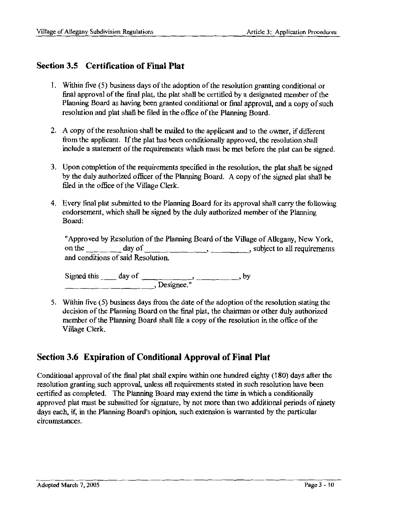### **Section 3.5 Certification of Final Plat**

- 1. Within five ( 5) business days of the adoption of the resolution granting conditional or final approval of the final plat, the plat shall be certified by a designated member of the Planning Board as having been granted conditional or final approval, and a copy of such resolution and plat shall be filed in the office of the Planning Board.
- 2. A copy of the resolution shall be mailed to the applicant and to the owner, if different from the applicant. If the plat has been conditionally approved, the resolution shall include a statement of the requirements which must be met before the plat can be signed.
- 3. Upon completion of the requirements specified in the resolution, the plat shall be signed by the duly authorized officer of the Planning Board. A copy of the signed plat shall be filed in the office of the Village Clerk.
- 4. Every final plat submitted to the Planning Board for its approval shall carry the following endorsement, which shall be signed by the duly authorized member of the Planning Board:

|                                    |        | "Approved by Resolution of the Planning Board of the Village of Allegany, New York, |
|------------------------------------|--------|-------------------------------------------------------------------------------------|
| on the                             | day of | , subject to all requirements                                                       |
| and conditions of said Resolution. |        |                                                                                     |

Signed this \_\_ day of -----~ \_\_\_\_\_ , by Signed this \_\_\_\_\_ day of \_\_\_\_\_\_\_\_\_\_\_\_, Designee."

5. Within five (5) business days from the date of the adoption of the resolution stating the decision of the Planning Board on the final plat, the chairman or other duly authorized member of the Planning Board shall file a copy of the resolution in the office of the Village Clerk.

### **Section 3.6 Expiration of Conditional Approval of Final Plat**

Conditional approval of the final plat shall expire within one hundred eighty ( 180) days after the resolution granting such approval, unless all requirements stated in such resolution have been certified as completed. The Planning Board may extend the time in which a conditionally approved plat must be submitted for signature, by not more than two additional periods of ninety days each, if, in the Planning Board's opinion, such extension is warranted by the particular circumstances.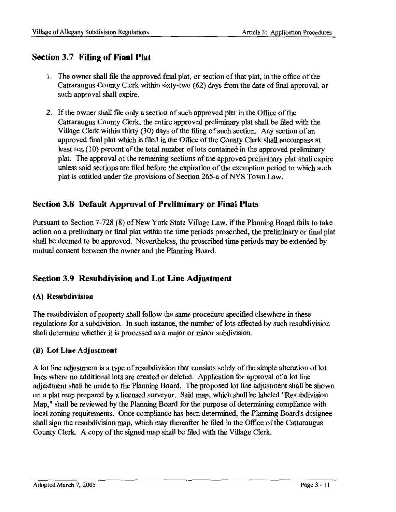### **Section 3.7 Filing of Final Plat**

- 1. The owner shall file the approved final plat, or section of that plat, in the office of the Cattaraugus County Clerk within sixty-two (62) days from the date of final approval, or such approval shall expire.
- 2. If the owner shall file only a section of such approved plat in the Office of the Cattaraugus County Clerk, the entire approved preliminary plat shall be filed with the Village Clerk within thirty (30) days of the filing of such section. Any section of an approved final plat which is filed in the Office of the County Clerk shall encompass at least ten (10) percent of the total number of lots contained in the approved preliminary plat. The approval of the remaining sections of the approved preliminary plat shall expire unless said sections are filed before the expiration of the exemption period to which such plat is entitled under the provisions of Section 265-a of NYS Town Law.

### **Section 3.8 Default Approval of Preliminary or Final Plats**

Pursuant to Section 7-728 (8) of New York State Village Law, if the Planning Board fails to take action on a preliminary or final plat within the time periods proscribed, the preliminary or final plat shall be deemed to be approved. Nevertheless, the proscribed time periods may be extended by mutual consent between the owner and the Planning Board.

### **Section 3.9 Resubdivision and Lot Line Adjustment**

#### **(A) Resubdivision**

The resubdivision of property shall follow the same procedure specified elsewhere in these regulations for a subdivision. In such instance, the number of lots affected by such resubdivision shall determine whether it is processed as a major or minor subdivision.

#### **(B) Lot Line Adjustment**

A lot line adjustment is a type of resubdivision that consists solely of the simple alteration of lot lines where no additional lots are created or deleted. Application for approval of a lot line adjustment shall be made to the Planning Board. The proposed lot line adjustment shall be shown on a plat map prepared by a licensed surveyor. Said map, which shall be labeled "Resubdivision Map," shall be reviewed by the Planning Board for the purpose of determining compliance with local zoning requirements. Once compliance has been determined, the Planning Board's designee shall sign the resubdivision map, which may thereafter be filed in the Office of the Cattaraugus County Clerk. A copy of the signed map shall be filed with the Village Clerk.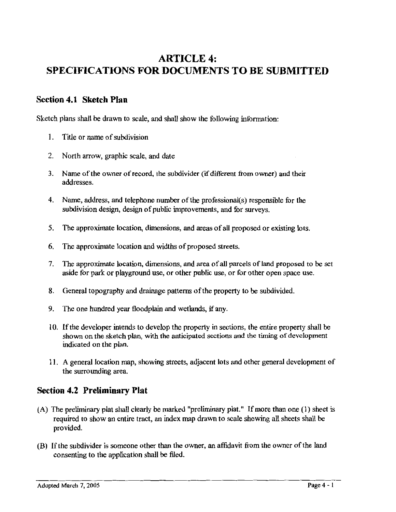# **ARTICLE 4: SPECIFICATIONS FOR DOCUMENTS TO BE SUBMITTED**

### **Section 4.1 Sketch Plan**

Sketch plans shall be drawn to scale, and shall show the following information:

- 1. Title or name of subdivision
- 2. North arrow, graphic scale, and date
- 3. Name of the owner ofrecord, the subdivider (if different from owner) and their addresses.
- 4. Name, address, and telephone number of the professional(s) responsible for the subdivision design, design of public improvements, and for surveys.
- 5. The approximate location, dimensions, and areas of all proposed or existing lots.
- 6. The approximate location and widths of proposed streets.
- 7. The approximate location, dimensions, and area of all parcels of land proposed to be set aside for park or playground use, or other public use, or for other open space use.
- 8. General topography and drainage patterns of the property to be subdivided.
- 9. The one hundred year floodplain and wetlands, if any.
- 10. If the developer intends to develop the property in sections, the entire property shall be shown on the sketch plan, with the anticipated sections and the timing of development indicated on the plan.
- 11. A general location map, showing streets, adjacent lots and other general development of the surrounding area.

### **Section 4.2 Preliminary Plat**

- (A) The preliminary plat shall clearly be marked "preliminary plat." If more than one (1) sheet is required to show an entire tract, an index map drawn to scale showing all sheets shall be provided.
- (B) If the subdivider is someone other than the owner, an affidavit from the owner of the land consenting to the application shall be filed.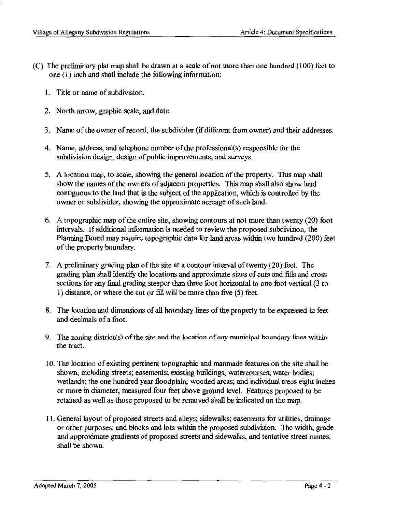- (C) The preliminary plat map shall be drawn at a scale of not more than one hundred (100) feet to one (1) inch and shall include the following information:
	- 1. Title or name of subdivision.
	- 2. North arrow, graphic scale, and date.
	- 3. Name of the owner ofrecord, the subdivider (if different from owner) and their addresses.
	- 4. Name, address, and telephone number of the professional(s) responsible for the subdivision design, design of public improvements, and surveys.
	- 5. A location map, to scale, showing the general location of the property. This map shall show the names of the owners of adjacent properties. This map shall also show land contiguous to the land that is the subject of the application, which is controlled by the owner or subdivider, showing the approximate acreage of such land.
	- 6. A topographic map of the entire site, showing contours at not more than twenty (20) foot intervals. If additional information is needed to review the proposed subdivision, the Planning Board may require topographic data for land areas within two hundred (200) feet of the property boundary.
	- 7. A preliminary grading plan of the site at a contour interval of twenty (20) feet. The grading plan shall identify the locations and approximate sizes of cuts and fills and cross sections for any final grading steeper than three foot horizontal to one foot vertical (3 to l) distance, or where the cut or fill will be more than five (5) feet.
	- 8. The location and dimensions of all boundary lines of the property to be expressed in feet and decimals of a foot.
	- 9. The zoning district(s) of the site and the location of any municipal boundary lines within the tract.
	- l 0. The location of existing pertinent topographic and manmade features on the site shall be shown, including streets; easements; existing buildings; watercourses; water bodies; wetlands; the one hundred year floodplain; wooded areas; and individual trees eight inches or more in diameter, measured four feet above ground level. Features proposed to be retained as well as those proposed to be removed shall be indicated on the map.
	- 11. General layout of proposed streets and alleys; sidewalks; easements for utilities, drainage or other purposes; and blocks and lots within the proposed subdivision. The width, grade and approximate gradients of proposed streets and sidewalks, and tentative street names, shall be shown.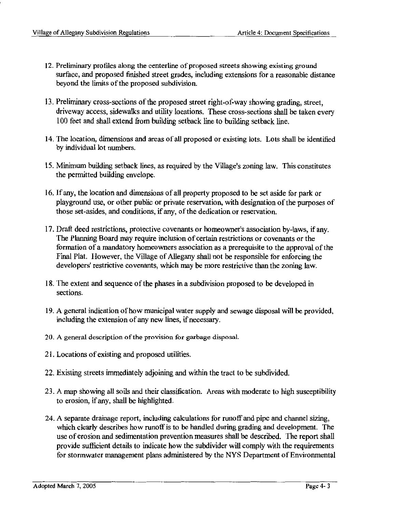- 12. Preliminary profiles along the centerline of proposed streets showing existing ground surface, and proposed finished street grades, including extensions for a reasonable distance beyond the limits of the proposed subdivision.
- 13. Preliminary cross-sections of the proposed street right-of-way showing grading, street, driveway access, sidewalks and utility locations. These cross-sections shall be taken every 100 feet and shall extend from building setback line to building setback line.
- 14. The location, dimensions and areas of all proposed or existing lots. Lots shall be identified by individual lot numbers.
- 15. Minimum building setback lines, as required by the Village's zoning law. This constitutes the permitted building envelope.
- 16. If any, the location and dimensions of all property proposed to be set aside for park or playground use, or other public or private reservation, with designation of the purposes of those set-asides, and conditions, if any, of the dedication or reservation.
- 17. Draft deed restrictions, protective covenants or homeowner's association by-laws, if any. The Planning Board may require inclusion of certain restrictions or covenants or the formation of a mandatory homeowners association as a prerequisite to the approval of the Final Plat. However, the Village of Allegany shall not be responsible for enforcing the developers' restrictive covenants, which may be more restrictive than the zoning law.
- 18. The extent and sequence of the phases in a subdivision proposed to be developed in sections.
- 19. A general indication of how municipal water supply and sewage disposal will be provided, including the extension of any new lines, if necessary.
- 20. A general description of the provision for garbage disposal.
- 21. Locations of existing and proposed utilities.
- 22. Existing streets immediately adjoining and within the tract to be subdivided.
- 23. A map showing all soils and their classification. Areas with moderate to high susceptibility to erosion, if any, shall be highlighted.
- 24. A separate drainage report, including calculations for runoff and pipe and channel sizing, which clearly describes how runoff is to be handled during grading and development. The use of erosion and sedimentation prevention measures shall be described. The report shall provide sufficient details to indicate how the subdivider will comply with the requirements for stormwater management plans administered by the NYS Department of Environmental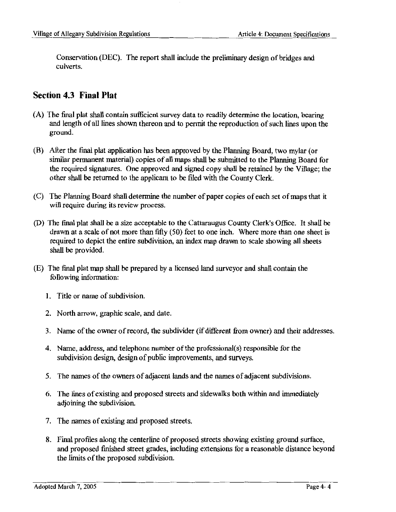Conservation (DEC). The report shall include the preliminary design of bridges and culverts.

### **Section 4.3 Final Plat**

- (A) The final plat shall contain sufficient survey data to readily determine the location, bearing and length of all lines shown thereon and to permit the reproduction of such lines upon the ground.
- (B) After the final plat application has been approved by the Planning Board, two mylar (or similar permanent material) copies of all maps shall be submitted to the Planning Board for the required signatures. One approved and signed copy shall be retained by the Village; the other shall be returned to the applicant to be filed with the County Clerk.
- (C) The Planning Board shall determine the number of paper copies of each set of maps that it will require during its review process.
- (D) The final plat shall be a size acceptable to the Cattaraugus County Clerk's Office. It shall be drawn at a scale of not more than fifty (50) feet to one inch. Where more than one sheet is required to depict the entire subdivision, an index map drawn to scale showing all sheets shall be provided.
- (E) The final plat map shall be prepared by a licensed land surveyor and shall contain the following information:
	- 1. Title or name of subdivision.
	- 2. North arrow, graphic scale, and date.
	- 3. Name of the owner of record, the subdivider (if different from owner) and their addresses.
	- 4. Name, address, and telephone number of the professional(s) responsible for the subdivision design, design of public improvements, and surveys.
	- 5. The names of the owners of adjacent lands and the names of adjacent subdivisions.
	- 6. The lines of existing and proposed streets and sidewalks both within and immediately adjoining the subdivision.
	- 7. The names of existing and proposed streets.
	- 8. Final profiles along the centerline of proposed streets showing existing ground surface, and proposed finished street grades, including extensions for a reasonable distance beyond the limits of the proposed subdivision.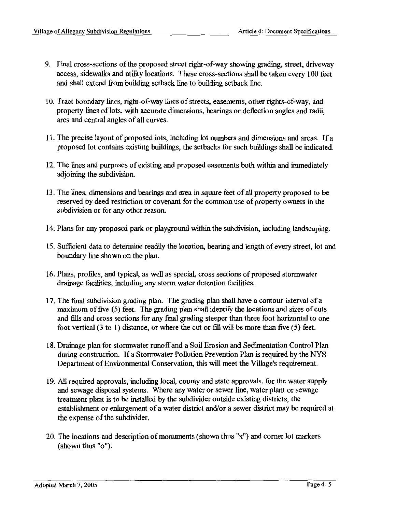- 9. Final cross-sections of the proposed street right-of-way showing grading, street, driveway access, sidewalks and utility locations. These cross-sections shall be taken every 100 feet and shall extend from building setback line to building setback line.
- l 0. Tract boundary lines, right-of-way lines of streets, easements, other rights-of-way, and property lines of lots, with accurate dimensions, bearings or deflection angles and radii, arcs and central angles of all curves.
- 11. The precise layout of proposed lots, including lot numbers and dimensions and areas. If a proposed lot contains existing buildings, the setbacks for such buildings shall be indicated.
- 12. The lines and purposes of existing and proposed easements both within and immediately adjoining the subdivision.
- 13. The lines, dimensions and bearings and area in square feet of all property proposed to be reserved by deed restriction or covenant for the common use of property owners in the subdivision or for any other reason.
- 14. Plans for any proposed park or playground within the subdivision, including landscaping.
- 15. Sufficient data to detennine readily the location, bearing and length of every street, lot and boundary line shown on the plan.
- 16. Plans, profiles, and typical, as well as special, cross sections of proposed stormwater drainage facilities, including any storm water detention facilities.
- I 7. The final subdivision grading plan. The grading plan shall have a contour interval of a maximum of five (5) feet. The grading plan shall identify the locations and sizes of cuts and fills and cross sections for any final grading steeper than three foot horizontal to one foot vertical (3 to 1) distance, or where the cut or fill will be more than five (5) feet.
- 18. Drainage plan for stormwater runoff and a Soil Erosion and Sedimentation Control Plan during construction. If a Stormwater Pollution Prevention Plan is required by the NYS Department of Environmental Conservation, this will meet the Village's requirement.
- 19. All required approvals, including local, county and state approvals, for the water supply and sewage disposal systems. Where any water or sewer line, water plant or sewage treatment plant is to be installed by the subdivider outside existing districts, the establishment or enlargement of a water district and/or a sewer district may be required at the expense of the subdivider.
- 20. The locations and description of monuments (shown thus "x") and corner lot markers (shown thus "o").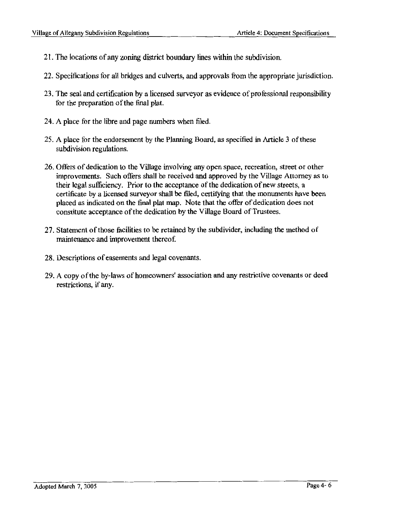- 21. The locations of any zoning district boundary lines within the subdivision.
- 22. Specifications for all bridges and culverts, and approvals from the appropriate jurisdiction.
- 23. The seal and certification by a licensed surveyor as evidence of professional responsibility for the preparation of the final plat.
- 24. A place for the libre and page numbers when filed.
- 25. A place for the endorsement by the Planning Board, as specified in Article 3 of these subdivision regulations.
- 26. Offers of dedication to the Village involving any open space, recreation, street or other improvements. Such offers shall be received and approved by the Village Attorney as to their legal sufficiency. Prior to the acceptance of the dedication of new streets, a certificate by a licensed surveyor shall be filed, certifying that the monuments have been placed as indicated on the final plat map. Note that the offer of dedication does not constitute acceptance of the dedication by the Village Board of Trustees.
- 27. Statement of those facilities to be retained by the subdivider, including the method of maintenance and improvement thereof.
- 28. Descriptions of easements and legal covenants.
- 29. A copy of the by-laws of homeowners' association and any restrictive covenants or deed restrictions, if any.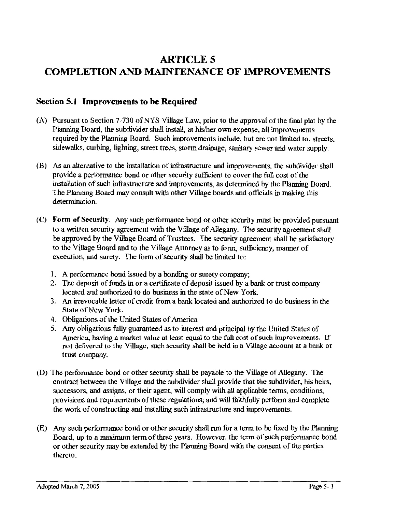# **ARTICLES COMPLETION AND MAINTENANCE OF IMPROVEMENTS**

### **Section 5.1 Improvements to be Required**

- (A) Pursuant to Section 7-730 ofNYS Village Law, prior to the approval of the final plat by the Plamung Board, the subdivider shall install, at his/her own expense, all improvements required by the Planning Board. Such improvements include, but are not limited to, streets, sidewalks, curbing, lighting, street trees, storm drainage, sanitary sewer and water supply.
- (B) As an alternative to the installation of infrastructure and improvements, the subdivider shall provide a performance bond or other security sufficient to cover the full cost of the installation of such infrastructure and improvements, as determined by the Planning Board. The Planning Board may consult with other Village boards and officials in making this determination.
- (C) **Form of Security.** Any such performance bond or other security must be provided pursuant to a written security agreement with the Village of Allegany. The security agreement shall be approved by the Village Board of Trustees. The security agreement shall be satisfactory to the Village Board and to the Village Attorney as to form, sufficiency, manner of execution, and surety. The form of security shall be limited to:
	- 1. A performance bond issued by a bonding or surety company;
	- 2. The deposit of funds in or a certificate of deposit issued by a bank or trust company located and authorized to do business in the state of New York.
	- 3. An irrevocable letter of credit from a bank located and authorized to do business in the State of New York.
	- 4. Obligations of the United States of America
	- 5. Any obligations fully guaranteed as to interest and principal by the United States of America, having a market value at least equal to the full cost of such improvements. If not delivered to the Village, such security shall be held in a Village account at a bank or trust company.
- (D) The performance bond or other security shall be payable to the Village of Allegany. The contract between the Village and the subdivider shall provide that the subdivider, his heirs, successors, and assigns, or their agent, will comply with all applicable terms, conditions, provisions and requirements of these regulations; and will faithfully perform and complete the work of constructing and installing such infrastructure and improvements.
- (E) Any such performance bond or other security shall run for a term to be fixed by the Planning Board, up to a maximum term of three years. However, the term of such performance bond or other security may be extended by the Planning Board with the consent of the parties thereto.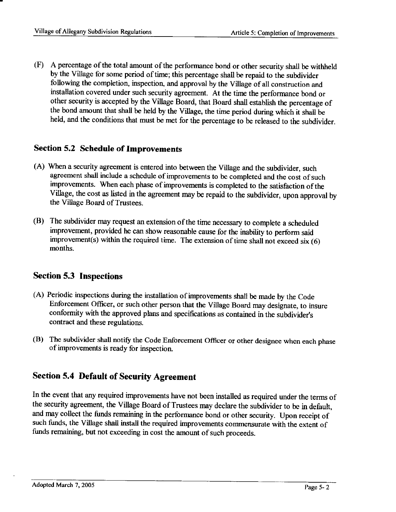(F) A percentage of the total amount of the performance bond or other security shall be withheld by the Village for some period of time; this percentage shall be repaid to the subdivider following the completion, inspection, and approval by the Village of all construction and installation covered under such security agreement. At the time the performance bond or other security is accepted by the Village Board, that Board shall establish the percentage of the bond amount that shall be held by the Village, the time period during which it shall be held, and the conditions that must be met for the percentage to be released to the subdivider.

### **Section 5.2 Schedule of Improvements**

- (A) When a security agreement is entered into between the Village and the subdivider, such agreement shall include a schedule of improvements to be completed and the cost of such improvements. When each phase of improvements is completed to the satisfaction of the Village, the cost as listed in the agreement may be repaid to the subdivider, upon approval by the Village Board of Trustees.
- (B) The subdivider may request an extension of the time necessary to complete a scheduled improvement, provided he can show reasonable cause for the inability to perform said improvement(s) within the required time. The extension of time shall not exceed  $six(6)$ months.

### **Section 5.3 Inspections**

- (A) Periodic inspections during the installation of improvements shall be made by the Code Enforcement Officer, or such other person that the Village Board may designate, to insure conformity with the approved plans and specifications as contained in the subdivider's contract and these regulations.
- (B) The subdivider shall notify the Code Enforcement Officer or other designee when each phase of improvements is ready for inspection.

### **Section 5.4 Default of Security Agreement**

In the event that any required improvements have not been installed as required under the terms of the security agreement, the Village Board of Trustees may declare the subdivider to be in default, and may collect the funds remaining in the performance bond or other security. Upon receipt of such funds, the Village shall install the required improvements commensurate with the extent of funds remaining, but not exceeding in cost the amount of such proceeds.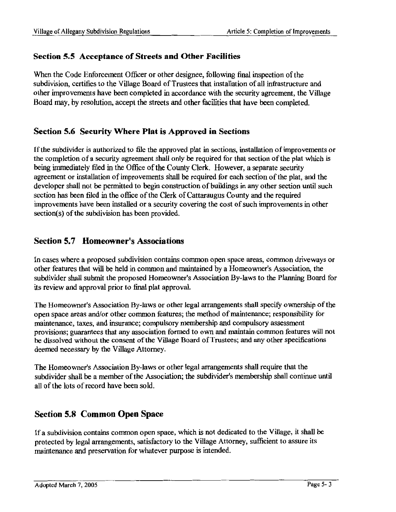### **Section 5.5 Acceptance of Streets and Other Facilities**

When the Code Enforcement Officer or other designee, following final inspection of the subdivision, certifies to the Village Board of Trustees that installation of all infrastructure and other improvements have been completed in accordance with the security agreement, the Village Board may, by resolution, accept the streets and other facilities that have been completed.

### **Section 5.6 Security Where Plat is Approved in Sections**

If the subdivider is authorized to file the approved plat in sections, installation of improvements or the completion of a security agreement shall only be required for that section of the plat which is being immediately filed in the Office of the County Clerk. However, a separate security agreement or installation of improvements shall be required for each section of the plat, and the developer shall not be permitted to begin construction of buildings in any other section until such section has been filed in the office of the Clerk of Cattaraugus County and the required improvements have been installed or a security covering the cost of such improvements in other section(s) of the subdivision has been provided.

### **Section 5.7 Homeowner's Associations**

In cases where a proposed subdivision contains common open space areas, common driveways or other features that will be held in common and maintained by a Homeowner's Association, the subdivider shall submit the proposed Homeowner's Association By-laws to the Planning Board for its review and approval prior to final plat approval

The Homeowner's Association By-laws or other legal arrangements shall specify ownership of the open space areas and/or other common features; the method of maintenance; responsibility for maintenance, taxes, and insurance; compulsory membership and compulsory assessment provisions; guarantees that any association fonned to own and maintain common features will not be dissolved without the consent of the Village Board of Trustees; and any other specifications deemed necessary by the Village Attorney.

The Homeowner's Association By-laws or other legal arrangements shall require that the subdivider shall be a member of the Association; the subdivider's membership shall continue until all of the lots of record have been sold.

### **Section 5.8 Common Open Space**

If a subdivision contains common open space, which is not dedicated to the Village, it shall be protected by legal arrangements, satisfactory to the Village Attorney, sufficient to assure its maintenance and preservation for whatever purpose is intended.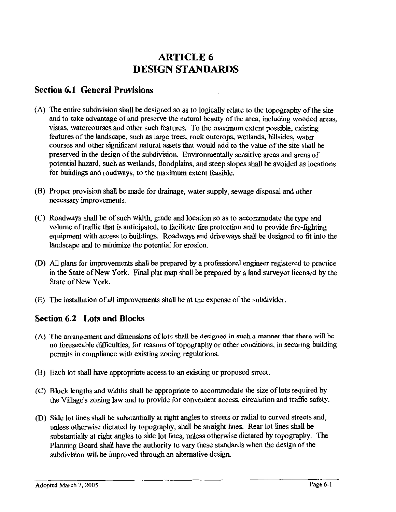# **ARTICLE6 DESIGN STANDARDS**

### **Section 6.1 General Provisions**

- (A) The entire subdivision shall be designed so as to logically relate to the topography of the site and to take advantage of and preserve the natural beauty of the area, including wooded areas, vistas, watercourses and other such features. To the maximum extent possible, existing features of the landscape, such as large trees, rock outcrops, wetlands, hillsides, water courses and other significant natural assets that would add to the value of the site shall be preserved in the design of the subdivision. Environmentally sensitive areas and areas of potential hazard, such as wetlands, floodplains, and steep slopes shall be avoided as locations for buildings and roadways, to the maximum extent feasible.
- (8) Proper provision shall be made for drainage, water supply, sewage disposal and other necessary improvements.
- (C) Roadways shall be of such width, grade and location so as to accommodate the type and volume of traffic that is anticipated, to facilitate fire protection and to provide fire-fighting equipment with access to buildings. Roadways and driveways shall be designed to fit into the landscape and to minimize the potential for erosion.
- (D) All plans for improvements shall be prepared by a professional engineer registered to practice in the State of New York. Final plat map shall be prepared by a land surveyor licensed by the State of New York.
- (E) The installation of all improvements shall be at the expense of the subdivider.

### **Section 6.2 Lots and Blocks**

- (A) The arrangement and dimensions of lots shall be designed in such a manner that there will be no foreseeable difficulties, for reasons of topography or other conditions, in securing building permits in compliance with existing zoning regulations.
- (B) Each lot shall have appropriate access to an existing or proposed street.
- (C) Block lengths and widths shall be appropriate to accommodate the size oflots required by the Village's zoning law and to provide for convenient access, circulation and traffic safety.
- (D) Side lot lines shall be substantially at right angles to streets or radial to curved streets and, unless otherwise dictated by topography, shall be straight lines. Rear lot lines shall be substantially at right angles to side lot lines, unless otherwise dictated by topography. The Planning Board shall have the authority to vary these standards when the design of the subdivision will be improved through an alternative design.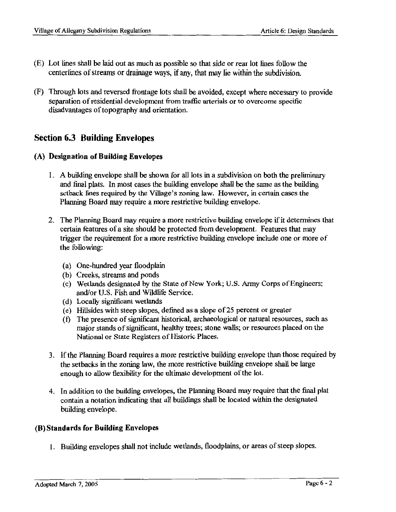- (E) Lot lines shall be laid out as much as possible so that side or rear lot lines follow the centerlines of streams or drainage ways, if any, that may lie within the subdivision.
- (F) Through lots and reversed frontage lots shall be avoided, except where necessary to provide separation of residential development from traffic arterials or to overcome specific disadvantages of topography and orientation.

### **Section 6.3 Building Envelopes**

#### **(A) Designation of Building Envelopes**

- I. A building envelope shall be shown for all lots in a subdivision on both the preliminary and final plats. In most cases the building envelope shall be the same as the building setback lines required by the Village's zoning law. However, in certain cases the Planning Board may require a more restrictive building envelope.
- 2. The Planning Board may require a more restrictive building envelope if it determines that certain features of a site should be protected from development. Features that may trigger the requirement for a more restrictive building envelope include one or more of the following:
	- (a) One-hundred year floodplain
	- (b) Creeks, streams and ponds
	- (c) Wetlands designated by the State of New York; U.S. Army Corps of Engineers; and/or U.S. Fish and Wildlife Service.
	- (d) Locally significant wetlands
	- (e) Hillsides with steep slopes, defined as a slope of25 percent or greater
	- ( f) The presence of significant historical, archaeological or natural resources, such as major stands of significant, healthy trees; stone walls; or resources placed on the National or State Registers of Historic Places.
- 3. If the Planning Board requires a more restrictive building envelope than those required by the setbacks in the zoning law, the more restrictive building envelope shall be large enough to allow flexibility for the ultimate development of the lot.
- 4. In addition to the building envelopes, the Planning Board may require that the final plat contain a notation indicating that all buildings shall be located within the designated building envelope.

#### **(8) Standards for Building Envelopes**

1. Building envelopes shall not include wetlands, floodplains, or areas of steep slopes.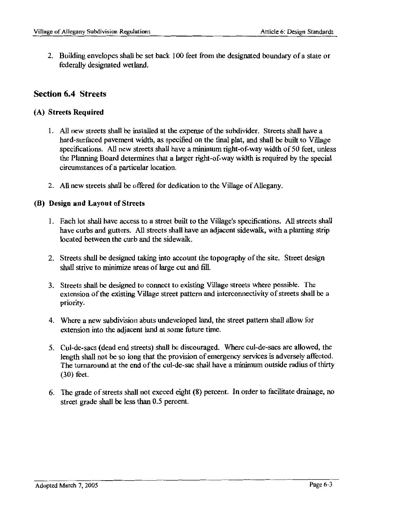2. Building envelopes shall be set back 100 feet from the designated boundary of a state or federally designated wetland.

#### **Section 6.4 Streets**

#### **(A) Streets Required**

- 1. All new streets shall be installed at the expense of the subdivider. Streets shall have a hard-surfaced pavement width, as specified on the final plat, and shall be built to Village specifications. All new streets shall have a minimum right-of-way width of 50 feet, unless the Planning Board determines that a larger right-of-way width is required by the special circumstances of a particular location.
- 2. All new streets shall be offered for dedication to the Village of Allegany.

#### **(8) Design and Layout of Streets**

- l . Each lot shall have access to a street built to the Village's specifications. All streets shall have curbs and gutters. All streets shall have an adjacent sidewalk, with a planting strip located between the curb and the sidewalk.
- 2. Streets shall be designed taking into account the topography of the site. Street design shall strive to minimize areas of large cut and fill.
- 3. Streets shall be designed to connect to existing Village streets where possible. The extension of the existing Village street pattern and interconnectivity of streets shall be a priority.
- 4. Where a new subdivision abuts undeveloped land, the street pattern shall allow for extension into the adjacent land at some future time.
- 5. Cul-de-sacs (dead end streets) shall be discouraged. Where cul-de-sacs are allowed, the length shall not be so long that the provision of emergency services is adversely affected. The turnaround at the end of the cul-de-sac shall have a minimum outside radius of thirty (30) feet.
- 6. The grade of streets shall not exceed eight (8) percent. In order to facilitate drainage, no street grade shall be less than 0.5 percent.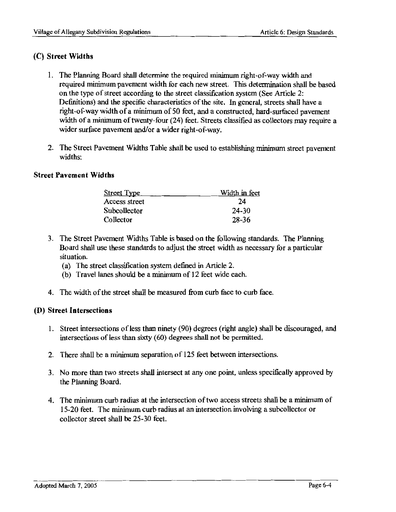#### (C) **Street Widths**

- 1. The Planning Board shall determine the required minimum right-of-way width and required minimum pavement width for each new street. This determination shall be based on the type of street according to the street classification system (See Article 2: Definitions) and the specific characteristics of the site. In general, streets shall have a right-of-way width of a minimum of 50 feet, and a constructed, hard-surfaced pavement width of a minimum of twenty-four (24) feet. Streets classified as collectors may require a wider surface pavement and/or a wider right-of-way.
- 2. The Street Pavement Widths Table shall be used to establishing minimum street pavement widths:

#### **Street Pavement Widths**

| <b>Street Type</b> | Width in feet |  |
|--------------------|---------------|--|
| Access street      | 24            |  |
| Subcollector       | 24-30         |  |
| Collector          | 28-36         |  |

- 3. The Street Pavement Widths Table is based on the following standards. The Planning Board shall use these standards to adjust the street width as necessary for a particular situation.
	- (a) The street classification system defined in Article 2.
	- (b) Travel lanes should be a minimum of 12 feet wide each.
- 4. The width of the street shall be measured from curb face to curb face.

#### **(D) Street Intersections**

- 1. Street intersections of less than ninety (90) degrees (right angle) shall be discouraged, and intersections of less than sixty (60) degrees shall not be permitted.
- 2. There shall be a minimum separation of 125 feet between intersections.
- 3. No more than two streets shall intersect at any one point, unless specifically approved by the Planning Board.
- 4. The minimum curb radius at the intersection of two access streets shall be a minimum of 15-20 feet. The minimum curb radius at an intersection involving a subcollector or collector street shall be 25-30 feet.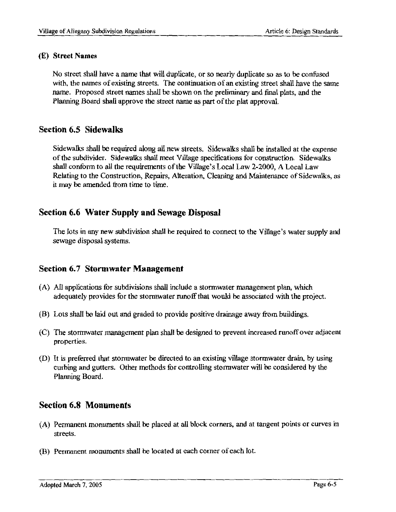#### **(E) Street Names**

No street shall have a name that will duplicate, or so nearly duplicate so as to be confused with, the names of existing streets. The continuation of an existing street shall have the same name. Proposed street names shall be shown on the preliminary and final plats, and the Planning Board shall approve the street name as part of the plat approval.

### **Section 6.5 Sidewalks**

Sidewalks shall be required along all new streets. Sidewalks shall be installed at the expense of the subdivider. Sidewalks shall meet Village specifications for construction. Sidewalks shall conform to all the requirements of the Village's Local Law 2-2000, A Local Law Relating to the Construction, Repairs, Alteration, Cleaning and Maintenance of Sidewalks, as it may be amended from time to time.

### **Section 6.6 Water Supply and Sewage Disposal**

The lots in any new subdivision shall be required to connect to the Village's water supply and sewage disposal systems.

### **Section 6.7 Stormwater Management**

- (A) All applications for subdivisions shall include a stormwater management plan, which adequately provides for the stormwater runoff that would be associated with the project.
- (B) Lots shall be laid out and graded to provide positive drainage away from buildings.
- (C) The stormwater management plan shall be designed to prevent increased runoff over adjacent properties.
- (D) It is preferred that stormwater be directed to an existing village stormwater drain, by using curbing and gutters. Other methods for controlling stormwater will be considered by the Planning Board.

### **Section 6.8 Monuments**

- (A) Permanent monuments shall be placed at all block corners, and at tangent points or curves in streets.
- (B) Permanent monuments shall be located at each corner of each lot.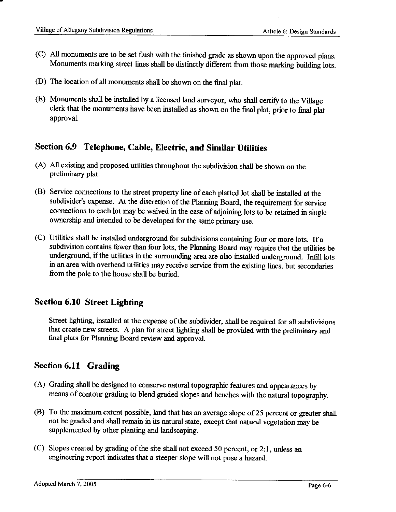- (C) All monuments are to be set flush with the finished grade as shown upon the approved plans. Monuments marking street lines shall be distinctly different from those marking building lots.
- (D) The location of all monuments shall be shown on the final plat.
- (E) Monuments shall be installed by a licensed land surveyor, who shall certify to the Village clerk that the monuments have been installed as shown on the final plat, prior to final plat approval.

### **Section 6.9 Telephone, Cable, Electric, and Similar Utilities**

- (A) All existing and proposed utilities throughout the subdivision shall be shown on the preliminary plat.
- (B) Service connections to the street property line of each platted lot shall be installed at the subdivider's expense. At the discretion of the Planning Board, the requirement for service connections to each lot may be waived in the case of adjoining lots to be retained in single ownership and intended to be developed for the same primary use.
- (C) Utilities shall be installed underground for subdivisions containing four or more lots. If a subdivision contains fewer than four lots, the Planning Board may require that the utilities be underground, if the utilities in the surrounding area are also installed underground. Infill lots in an area with overhead utilities may receive service from the existing lines, but secondaries from the pole to the house shall be buried.

### **Section 6.10 Street Lighting**

Street lighting, installed at the expense of the subdivider, shall be required for all subdivisions that create new streets. A plan for street lighting shall be provided with the preliminary and final plats for Planning Board review and approval.

## **Section 6.11 Grading**

- (A) Grading shall be designed to conserve natural topographic features and appearances by means of contour grading to blend graded slopes and benches with the natural topography.
- (B) To the maximum extent possible, land that has an average slope of25 percent or greater shall not be graded and shall remain in its natural state, except that natural vegetation may be supplemented by other planting and landscaping.
- ( C) Slopes created by grading of the site shall not exceed 50 percent, or 2: l, unless an engineering report indicates that a steeper slope will not pose a hazard.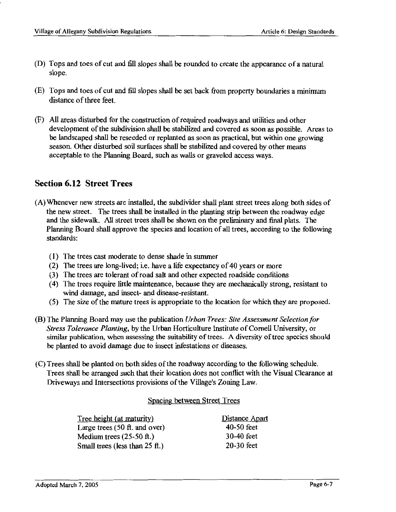- (D) Tops and toes of cut and fill slopes shall be rounded to create the appearance of a natural slope.
- (E) Tops and toes of cut and fill slopes shall be set back from property boundaries a minimum distance of three feet.
- (F) All areas disturbed for the construction of required roadways and utilities and other development of the subdivision shall be stabilized and covered as soon as possible. Areas to be landscaped shall be reseeded or replanted as soon as practical, but within one growing season. Other disturbed soil surfaces shall be stabilized and covered by other means acceptable to the Planning Board, such as walls or graveled access ways.

### **Section 6.12 Street Trees**

- (A) Whenever new streets are installed, the subdivider shall plant street trees along both sides of the new street. The trees shall be installed in the planting strip between the roadway edge and the sidewalk. All street trees shall be shown on the preliminary and final plats. The Planning Board shall approve the species and location of all trees, according to the following standards:
	- (I) The trees cast moderate to dense shade in summer
	- (2) The trees are long-lived; i.e. have a life expectancy of 40 years or more
	- (3) The trees are tolerant ofroad salt and other expected roadside conditions
	- (4) The trees require little maintenance, because they are mechanically strong, resistant to wind damage, and insect- and disease-resistant.
	- (5) The size of the mature trees is appropriate to the location for which they are proposed.
- (B) The Planning Board may use the publication *Urban Trees: Site Assessment Selection for Stress Tolerance Planting,* by the Urban Horticulture Institute of Cornell University, or similar publication, when assessing the suitability of trees. A diversity of tree species should be planted to avoid damage due to insect infestations or diseases.
- (C) Trees shall be planted on both sides of the roadway according to the following schedule. Trees shall be arranged such that their location does not conflict with the Visual Clearance at Driveways and Intersections provisions of the Village's Zoning Law.

#### Spacing between Street Trees

| Tree height (at maturity)          | Distance Apart |
|------------------------------------|----------------|
| Large trees $(50$ ft. and over)    | $40-50$ feet   |
| Medium trees $(25-50 \text{ ft.})$ | 30-40 feet     |
| Small trees (less than 25 ft.)     | $20-30$ feet   |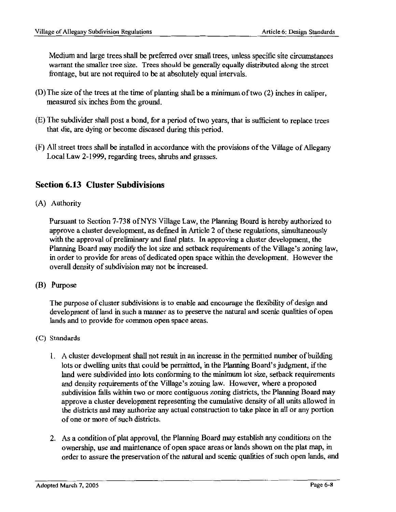Medium and large trees shall be preferred over small trees, unless specific site circumstances warrant the smaller tree size. Trees should be generally equally distributed along the street frontage, but are not required to be at absolutely equal intervals.

- (D)The size of the trees at the time of planting shall be a minimum of two (2) inches in caliper, measured six inches from the ground.
- (E) The subdivider shall post a bond, for a period of two years, that is sufficient to replace trees that die, are dying or become diseased during this period.
- (F) All street trees shall be installed in accordance with the provisions of the Village of Allegany Local Law 2-1999, regarding trees, shrubs and grasses.

### **Section 6.13 Cluster Subdivisions**

(A) Authority

Pursuant to Section 7-738 ofNYS Village Law, the Planning Board is hereby authorized to approve a cluster development, as defined in Article 2 of these regulations, simultaneously with the approval of preliminary and final plats. In approving a cluster development, the Planning Board may modify the lot size and setback requirements of the Village's zoning law, in order to provide for areas of dedicated open space within the development. However the overall density of subdivision may not be increased.

(B) Purpose

The purpose of cluster subdivisions is to enable and encourage the flexibility of design and development of land in such a manner as to preserve the natural and scenic qualities of open lands and to provide for common open space areas.

- (C) Standards
	- l. A cluster development shall not result in an increase in the permitted number of building lots or dwelling units that could be permitted, in the Planning Board's judgment, if the land were subdivided into lots conforming to the minimum lot size, setback requirements and density requirements of the Village's zoning law. However, where a proposed subdivision falls within two or more contiguous zoning districts, the Planning Board may approve a cluster development representing the cumulative density of all units allowed in the districts and may authorize any actual construction to take place in all or any portion of one or more of such districts.
	- 2. As a condition of plat approval, the Planning Board may establish any conditions on the ownership, use and maintenance of open space areas or lands shown on the plat map, in order to assure the preservation of the natural and scenic qualities of such open lands, and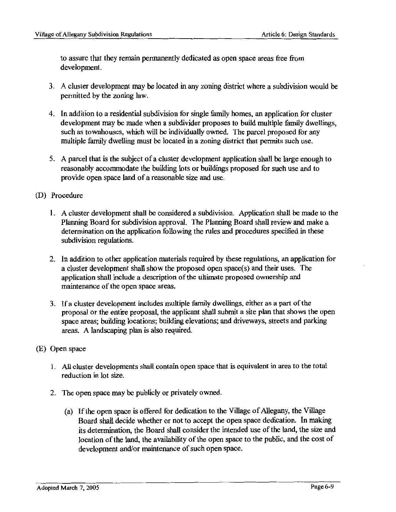to assure that they remain permanently dedicated as open space areas free from development.

- 3. A cluster development may be located in any zoning district where a subdivision would be permitted by the zoning law.
- 4. In addition to a residential subdivision for single family homes, an application for cluster development may be made when a subdivider proposes to build multiple family dwellings, such as townhouses, which will be individually owned. The parcel proposed for any multiple family dwelling must be located in a zoning district that permits such use.
- 5. A parcel that is the subject of a cluster development application shall be large enough to reasonably accommodate the building lots or buildings proposed for such use and to provide open space land of a reasonable size and use.
- (D) Procedure
	- 1. A cluster development shall be considered a subdivision. Application shall be made to the Planning Board for subdivision approval. The Planning Board shall review and make a determination on the application following the rules and procedures specified in these subdivision regulations.
	- 2. In addition to other application materials required by these regulations, an application for a cluster development shall show the proposed open space(s) and their uses. The application shall include a description of the ultimate proposed ownership and maintenance of the open space areas.
	- 3. If a cluster development includes multiple family dwellings, either as a part of the proposal or the entire proposal, the applicant shall submit a site plan that shows the open space areas; building locations; building elevations; and driveways, streets and parking areas. A landscaping plan is also required.
- (E) Open space
	- 1. All cluster developments shall contain open space that is equivalent in area to the total reduction in lot size.
	- 2. The open space may be publicly or privately owned.
		- (a) If the open space is offered for dedication to the Village of Allegany, the Village Board shall decide whether or not to accept the open space dedication. In making its determination, the Board shall consider the intended use of the land, the size and location of the land, the availability of the open space to the public, and the cost of development and/or maintenance of such open space.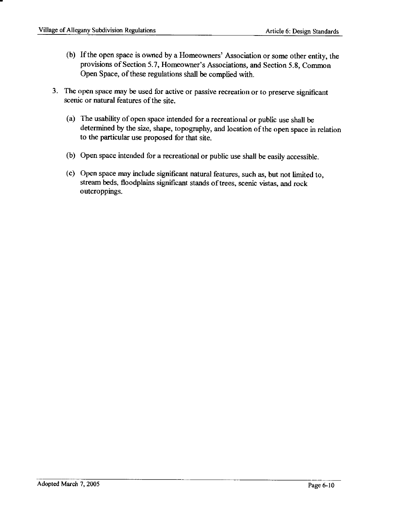- (b) If the open space is owned by a Homeowners' Association or some other entity, the provisions of Section 5.7, Homeowner's Associations, and Section 5.8, Common Open Space, of these regulations shall be complied with.
- 3. The open space may be used for active or passive recreation or to preserve significant scenic or natural features of the site.
	- (a) The usability of open space intended for a recreational or public use shall be determined by the size, shape, topography, and location of the open space in relation to the particular use proposed for that site.
	- (b) Open space intended for a recreational or public use shall be easily accessible.
	- ( c) Open space may include significant natural features, such as, but not limited to, stream beds, floodplains significant stands of trees, scenic vistas, and rock outcroppings.